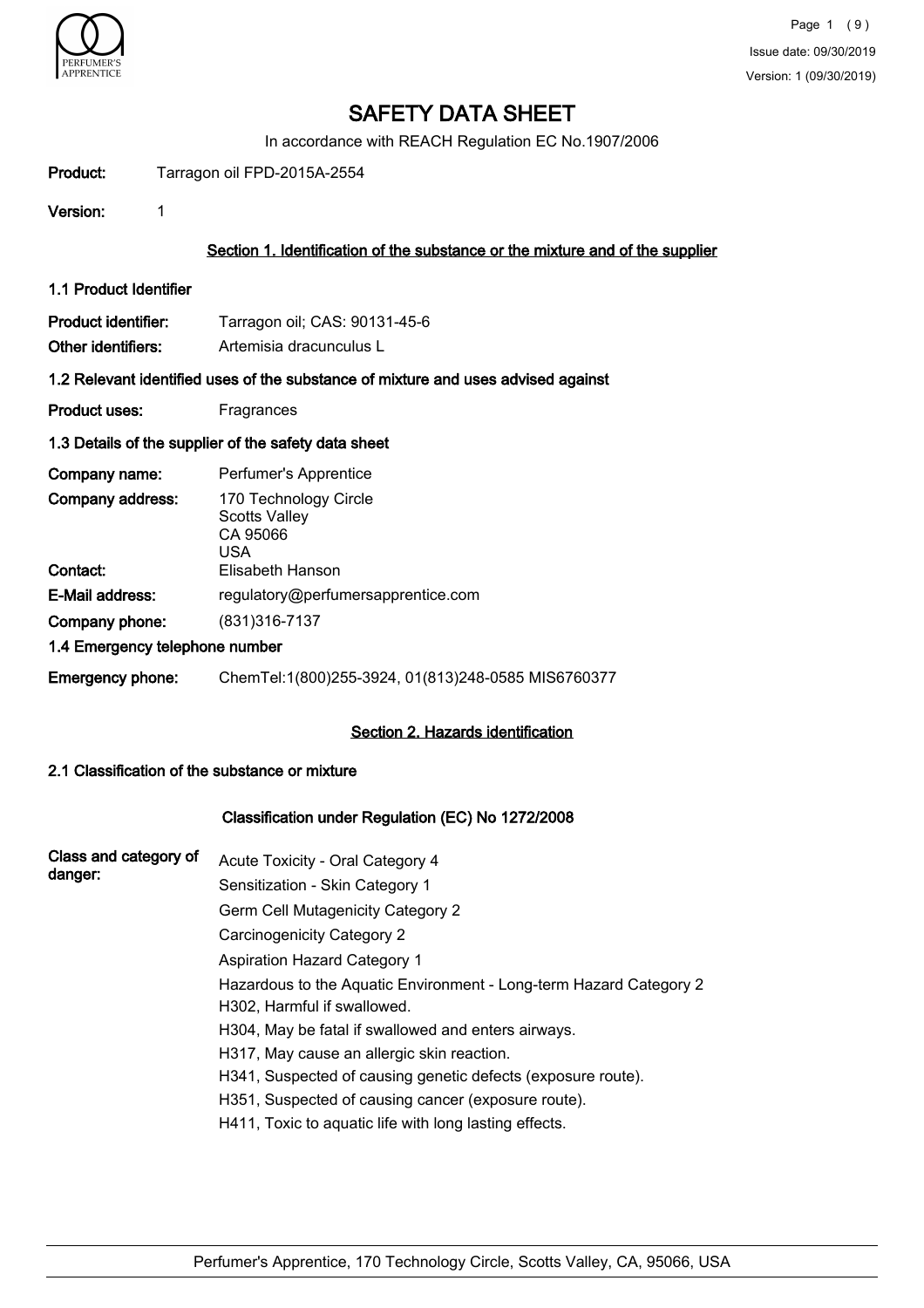

In accordance with REACH Regulation EC No.1907/2006

| Product:                                  | Tarragon oil FPD-2015A-2554                                                       |
|-------------------------------------------|-----------------------------------------------------------------------------------|
| Version:                                  | 1                                                                                 |
|                                           | Section 1. Identification of the substance or the mixture and of the supplier     |
| 1.1 Product Identifier                    |                                                                                   |
| Product identifier:<br>Other identifiers: | Tarragon oil; CAS: 90131-45-6<br>Artemisia dracunculus L                          |
|                                           | 1.2 Relevant identified uses of the substance of mixture and uses advised against |
| <b>Product uses:</b>                      | Fragrances                                                                        |
|                                           | 1.3 Details of the supplier of the safety data sheet                              |
| Company name:                             | Perfumer's Apprentice                                                             |
| Company address:                          | 170 Technology Circle<br><b>Scotts Valley</b><br>CA 95066<br><b>USA</b>           |
| Contact:                                  | Elisabeth Hanson                                                                  |
| E-Mail address:                           | regulatory@perfumersapprentice.com                                                |
| Company phone:                            | (831) 316-7137                                                                    |
|                                           | 1.4 Emergency telephone number                                                    |
| Emergency phone:                          | ChemTel:1(800)255-3924, 01(813)248-0585 MIS6760377                                |

# Section 2. Hazards identification

### 2.1 Classification of the substance or mixture

### Classification under Regulation (EC) No 1272/2008

| Class and category of | Acute Toxicity - Oral Category 4                                                                  |
|-----------------------|---------------------------------------------------------------------------------------------------|
| danger:               | Sensitization - Skin Category 1                                                                   |
|                       | Germ Cell Mutagenicity Category 2                                                                 |
|                       | Carcinogenicity Category 2                                                                        |
|                       | <b>Aspiration Hazard Category 1</b>                                                               |
|                       | Hazardous to the Aquatic Environment - Long-term Hazard Category 2<br>H302, Harmful if swallowed. |
|                       | H304, May be fatal if swallowed and enters airways.                                               |
|                       | H317, May cause an allergic skin reaction.                                                        |
|                       | H341, Suspected of causing genetic defects (exposure route).                                      |
|                       | H351, Suspected of causing cancer (exposure route).                                               |
|                       | H411, Toxic to aquatic life with long lasting effects.                                            |
|                       |                                                                                                   |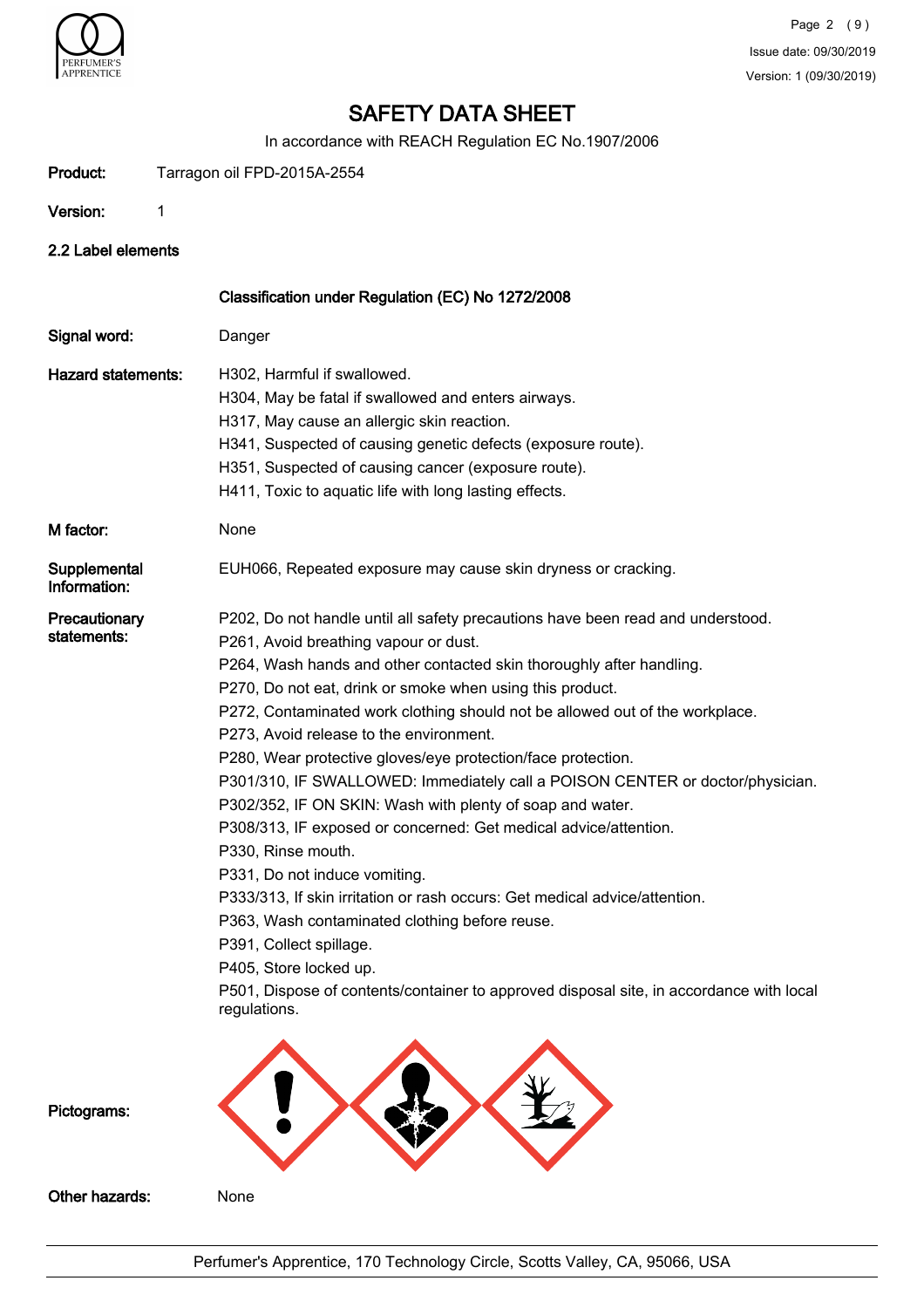

In accordance with REACH Regulation EC No.1907/2006

| Product:                     | Tarragon oil FPD-2015A-2554                                                                                                                                                                                                                                                                                                                                                                                                                                                                                                                                                                                                                                                                                                                                                                                                                                                                                                                                                                                                       |
|------------------------------|-----------------------------------------------------------------------------------------------------------------------------------------------------------------------------------------------------------------------------------------------------------------------------------------------------------------------------------------------------------------------------------------------------------------------------------------------------------------------------------------------------------------------------------------------------------------------------------------------------------------------------------------------------------------------------------------------------------------------------------------------------------------------------------------------------------------------------------------------------------------------------------------------------------------------------------------------------------------------------------------------------------------------------------|
| Version:                     | 1                                                                                                                                                                                                                                                                                                                                                                                                                                                                                                                                                                                                                                                                                                                                                                                                                                                                                                                                                                                                                                 |
| 2.2 Label elements           |                                                                                                                                                                                                                                                                                                                                                                                                                                                                                                                                                                                                                                                                                                                                                                                                                                                                                                                                                                                                                                   |
|                              | Classification under Regulation (EC) No 1272/2008                                                                                                                                                                                                                                                                                                                                                                                                                                                                                                                                                                                                                                                                                                                                                                                                                                                                                                                                                                                 |
| Signal word:                 | Danger                                                                                                                                                                                                                                                                                                                                                                                                                                                                                                                                                                                                                                                                                                                                                                                                                                                                                                                                                                                                                            |
| <b>Hazard statements:</b>    | H302, Harmful if swallowed.<br>H304, May be fatal if swallowed and enters airways.<br>H317, May cause an allergic skin reaction.<br>H341, Suspected of causing genetic defects (exposure route).<br>H351, Suspected of causing cancer (exposure route).<br>H411, Toxic to aquatic life with long lasting effects.                                                                                                                                                                                                                                                                                                                                                                                                                                                                                                                                                                                                                                                                                                                 |
| M factor:                    | None                                                                                                                                                                                                                                                                                                                                                                                                                                                                                                                                                                                                                                                                                                                                                                                                                                                                                                                                                                                                                              |
| Supplemental<br>Information: | EUH066, Repeated exposure may cause skin dryness or cracking.                                                                                                                                                                                                                                                                                                                                                                                                                                                                                                                                                                                                                                                                                                                                                                                                                                                                                                                                                                     |
| Precautionary<br>statements: | P202, Do not handle until all safety precautions have been read and understood.<br>P261, Avoid breathing vapour or dust.<br>P264, Wash hands and other contacted skin thoroughly after handling.<br>P270, Do not eat, drink or smoke when using this product.<br>P272, Contaminated work clothing should not be allowed out of the workplace.<br>P273, Avoid release to the environment.<br>P280, Wear protective gloves/eye protection/face protection.<br>P301/310, IF SWALLOWED: Immediately call a POISON CENTER or doctor/physician.<br>P302/352, IF ON SKIN: Wash with plenty of soap and water.<br>P308/313, IF exposed or concerned: Get medical advice/attention.<br>P330. Rinse mouth.<br>P331, Do not induce vomiting.<br>P333/313, If skin irritation or rash occurs: Get medical advice/attention.<br>P363, Wash contaminated clothing before reuse.<br>P391, Collect spillage.<br>P405, Store locked up.<br>P501, Dispose of contents/container to approved disposal site, in accordance with local<br>regulations. |
| Pictograms:                  |                                                                                                                                                                                                                                                                                                                                                                                                                                                                                                                                                                                                                                                                                                                                                                                                                                                                                                                                                                                                                                   |
| Other hazards:               | None                                                                                                                                                                                                                                                                                                                                                                                                                                                                                                                                                                                                                                                                                                                                                                                                                                                                                                                                                                                                                              |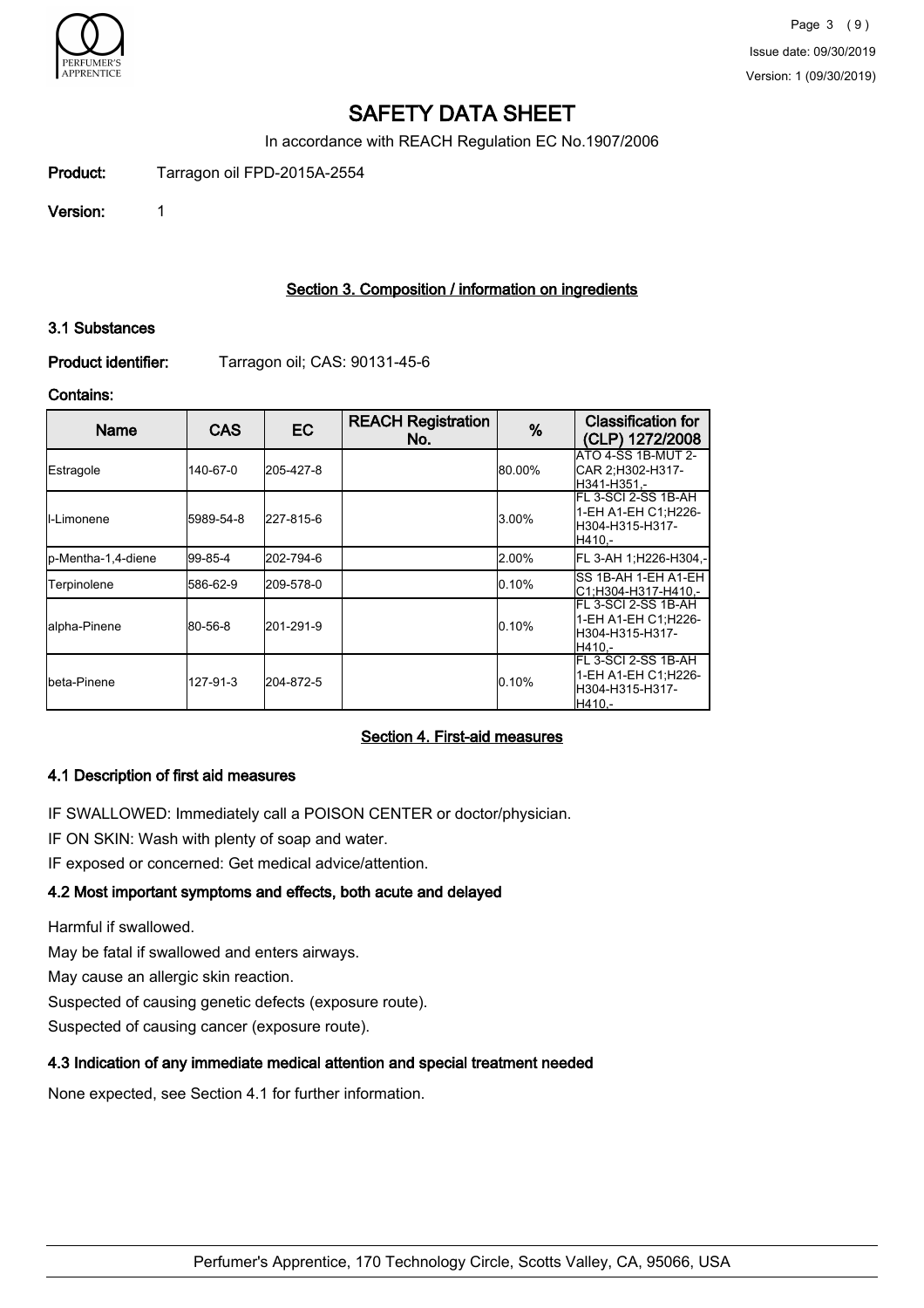

In accordance with REACH Regulation EC No.1907/2006

Product: Tarragon oil FPD-2015A-2554

Version: 1

### Section 3. Composition / information on ingredients

### 3.1 Substances

Product identifier: Tarragon oil; CAS: 90131-45-6

### Contains:

| <b>Name</b>         | <b>CAS</b> | EC.       | <b>REACH Registration</b><br>No. | %      | <b>Classification for</b><br>(CLP) 1272/2008                               |
|---------------------|------------|-----------|----------------------------------|--------|----------------------------------------------------------------------------|
| Estragole           | 140-67-0   | 205-427-8 |                                  | 80.00% | <b>ATO 4-SS 1B-MUT 2-</b><br>ICAR 2:H302-H317-<br>IH341-H351.-             |
| ll-Limonene         | 5989-54-8  | 227-815-6 |                                  | 3.00%  | IFL 3-SCI 2-SS 1B-AH<br>1-EH A1-EH C1:H226-<br>lH304-H315-H317-<br>IH410.- |
| lp-Mentha-1,4-diene | 199-85-4   | 202-794-6 |                                  | 2.00%  | FL 3-AH 1:H226-H304.-                                                      |
| Terpinolene         | 586-62-9   | 209-578-0 |                                  | 0.10%  | ISS 1B-AH 1-EH A1-EH<br>IC1:H304-H317-H410.-                               |
| lalpha-Pinene       | 80-56-8    | 201-291-9 |                                  | 0.10%  | IFL 3-SCI 2-SS 1B-AH<br>1-EH A1-EH C1:H226-<br>lH304-H315-H317-<br>H410.-  |
| Ibeta-Pinene        | 127-91-3   | 204-872-5 |                                  | 0.10%  | FL 3-SCI 2-SS 1B-AH<br>1-EH A1-EH C1:H226-<br>H304-H315-H317-<br>H410.-    |

### Section 4. First-aid measures

# 4.1 Description of first aid measures

IF SWALLOWED: Immediately call a POISON CENTER or doctor/physician.

IF ON SKIN: Wash with plenty of soap and water.

IF exposed or concerned: Get medical advice/attention.

# 4.2 Most important symptoms and effects, both acute and delayed

Harmful if swallowed.

May be fatal if swallowed and enters airways.

May cause an allergic skin reaction.

Suspected of causing genetic defects (exposure route).

Suspected of causing cancer (exposure route).

# 4.3 Indication of any immediate medical attention and special treatment needed

None expected, see Section 4.1 for further information.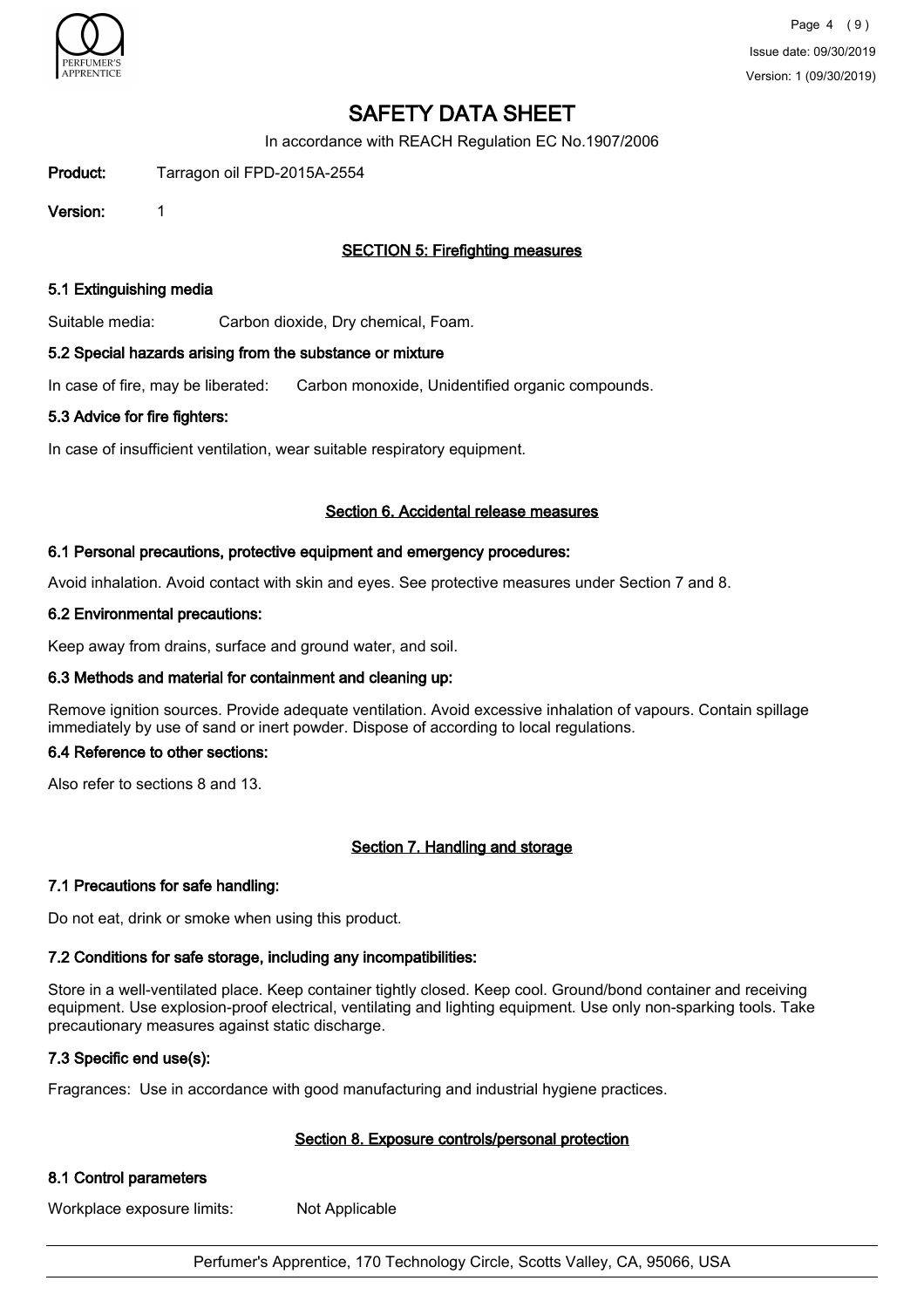

In accordance with REACH Regulation EC No.1907/2006

Product: Tarragon oil FPD-2015A-2554

Version: 1

# SECTION 5: Firefighting measures

### 5.1 Extinguishing media

Suitable media: Carbon dioxide, Dry chemical, Foam.

### 5.2 Special hazards arising from the substance or mixture

In case of fire, may be liberated: Carbon monoxide, Unidentified organic compounds.

### 5.3 Advice for fire fighters:

In case of insufficient ventilation, wear suitable respiratory equipment.

### Section 6. Accidental release measures

### 6.1 Personal precautions, protective equipment and emergency procedures:

Avoid inhalation. Avoid contact with skin and eyes. See protective measures under Section 7 and 8.

### 6.2 Environmental precautions:

Keep away from drains, surface and ground water, and soil.

### 6.3 Methods and material for containment and cleaning up:

Remove ignition sources. Provide adequate ventilation. Avoid excessive inhalation of vapours. Contain spillage immediately by use of sand or inert powder. Dispose of according to local regulations.

### 6.4 Reference to other sections:

Also refer to sections 8 and 13.

### Section 7. Handling and storage

### 7.1 Precautions for safe handling:

Do not eat, drink or smoke when using this product.

### 7.2 Conditions for safe storage, including any incompatibilities:

Store in a well-ventilated place. Keep container tightly closed. Keep cool. Ground/bond container and receiving equipment. Use explosion-proof electrical, ventilating and lighting equipment. Use only non-sparking tools. Take precautionary measures against static discharge.

### 7.3 Specific end use(s):

Fragrances: Use in accordance with good manufacturing and industrial hygiene practices.

### Section 8. Exposure controls/personal protection

### 8.1 Control parameters

Workplace exposure limits: Not Applicable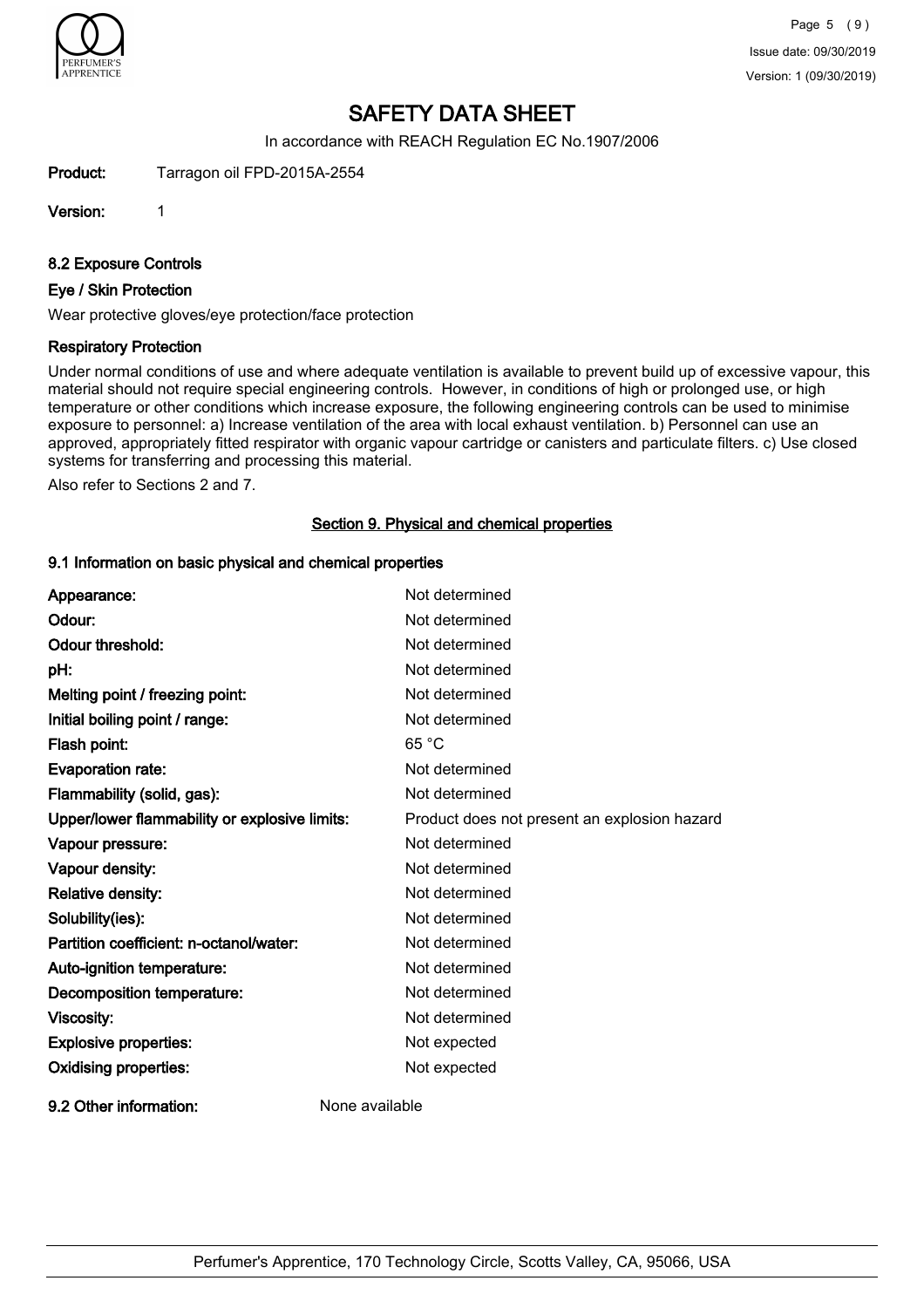

In accordance with REACH Regulation EC No.1907/2006

Product: Tarragon oil FPD-2015A-2554

Version: 1

8.2 Exposure Controls

### Eye / Skin Protection

Wear protective gloves/eye protection/face protection

### Respiratory Protection

Under normal conditions of use and where adequate ventilation is available to prevent build up of excessive vapour, this material should not require special engineering controls. However, in conditions of high or prolonged use, or high temperature or other conditions which increase exposure, the following engineering controls can be used to minimise exposure to personnel: a) Increase ventilation of the area with local exhaust ventilation. b) Personnel can use an approved, appropriately fitted respirator with organic vapour cartridge or canisters and particulate filters. c) Use closed systems for transferring and processing this material.

Also refer to Sections 2 and 7.

### Section 9. Physical and chemical properties

### 9.1 Information on basic physical and chemical properties

| Appearance:                                   | Not determined                               |
|-----------------------------------------------|----------------------------------------------|
| Odour:                                        | Not determined                               |
| <b>Odour threshold:</b>                       | Not determined                               |
| pH:                                           | Not determined                               |
| Melting point / freezing point:               | Not determined                               |
| Initial boiling point / range:                | Not determined                               |
| Flash point:                                  | 65 °C                                        |
| <b>Evaporation rate:</b>                      | Not determined                               |
| Flammability (solid, gas):                    | Not determined                               |
| Upper/lower flammability or explosive limits: | Product does not present an explosion hazard |
| Vapour pressure:                              | Not determined                               |
| Vapour density:                               | Not determined                               |
| Relative density:                             | Not determined                               |
| Solubility(ies):                              | Not determined                               |
| Partition coefficient: n-octanol/water:       | Not determined                               |
| Auto-ignition temperature:                    | Not determined                               |
| Decomposition temperature:                    | Not determined                               |
| Viscosity:                                    | Not determined                               |
| <b>Explosive properties:</b>                  | Not expected                                 |
| <b>Oxidising properties:</b>                  | Not expected                                 |
| 9.2 Other information:                        | None available                               |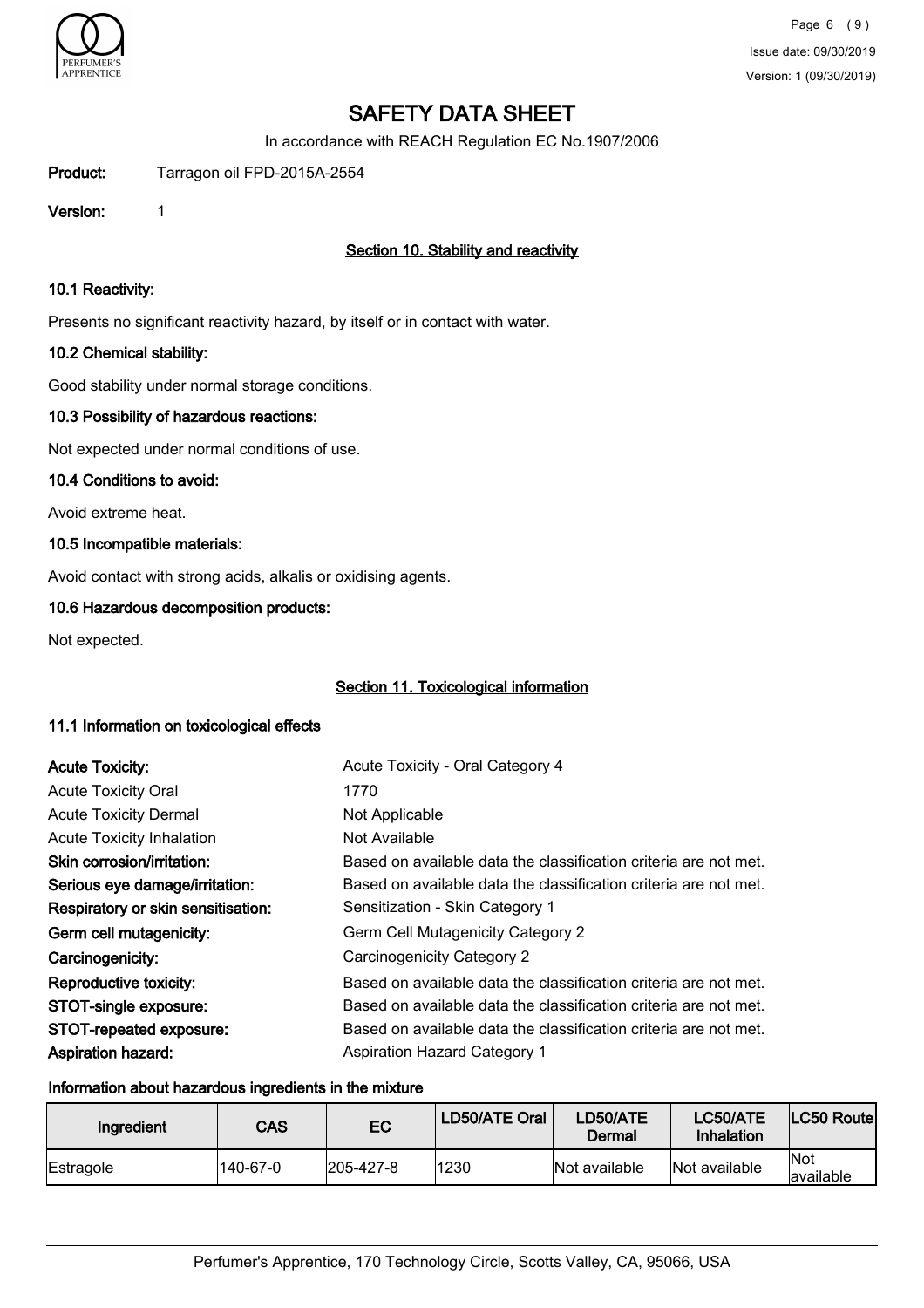

In accordance with REACH Regulation EC No.1907/2006

Product: Tarragon oil FPD-2015A-2554

Version: 1

# Section 10. Stability and reactivity

### 10.1 Reactivity:

Presents no significant reactivity hazard, by itself or in contact with water.

### 10.2 Chemical stability:

Good stability under normal storage conditions.

### 10.3 Possibility of hazardous reactions:

Not expected under normal conditions of use.

### 10.4 Conditions to avoid:

Avoid extreme heat.

### 10.5 Incompatible materials:

Avoid contact with strong acids, alkalis or oxidising agents.

### 10.6 Hazardous decomposition products:

Not expected.

### Section 11. Toxicological information

### 11.1 Information on toxicological effects

| <b>Acute Toxicity:</b>             | Acute Toxicity - Oral Category 4                                 |
|------------------------------------|------------------------------------------------------------------|
| <b>Acute Toxicity Oral</b>         | 1770                                                             |
| <b>Acute Toxicity Dermal</b>       | Not Applicable                                                   |
| <b>Acute Toxicity Inhalation</b>   | Not Available                                                    |
| Skin corrosion/irritation:         | Based on available data the classification criteria are not met. |
| Serious eye damage/irritation:     | Based on available data the classification criteria are not met. |
| Respiratory or skin sensitisation: | Sensitization - Skin Category 1                                  |
| Germ cell mutagenicity:            | Germ Cell Mutagenicity Category 2                                |
| Carcinogenicity:                   | Carcinogenicity Category 2                                       |
| Reproductive toxicity:             | Based on available data the classification criteria are not met. |
| STOT-single exposure:              | Based on available data the classification criteria are not met. |
| STOT-repeated exposure:            | Based on available data the classification criteria are not met. |
| <b>Aspiration hazard:</b>          | <b>Aspiration Hazard Category 1</b>                              |

#### Information about hazardous ingredients in the mixture

| Ingredient | <b>CAS</b> | EC        | LD50/ATE Oral | LD50/ATE<br>Dermal | LC50/ATE<br>Inhalation | LC50 Routel        |
|------------|------------|-----------|---------------|--------------------|------------------------|--------------------|
| Estragole  | 140-67-0   | 205-427-8 | 1230          | Not available      | Not available          | lNot<br>lavailable |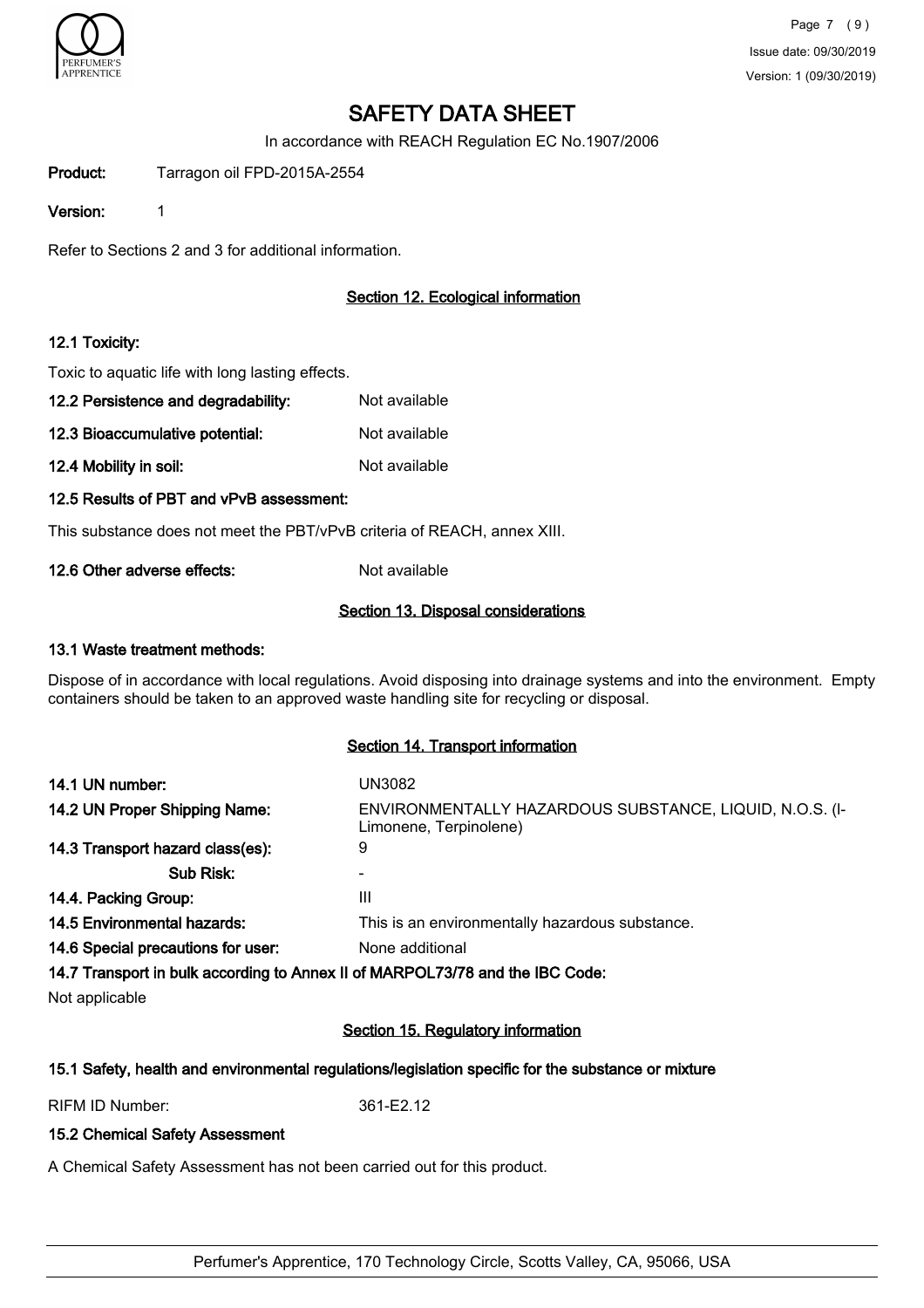

In accordance with REACH Regulation EC No.1907/2006

Product: Tarragon oil FPD-2015A-2554

Version: 1

Refer to Sections 2 and 3 for additional information.

# Section 12. Ecological information

### 12.1 Toxicity:

Toxic to aquatic life with long lasting effects.

- 12.2 Persistence and degradability: Not available
- 12.3 Bioaccumulative potential: Not available

12.4 Mobility in soil: Not available

### 12.5 Results of PBT and vPvB assessment:

This substance does not meet the PBT/vPvB criteria of REACH, annex XIII.

12.6 Other adverse effects: Not available

### Section 13. Disposal considerations

### 13.1 Waste treatment methods:

Dispose of in accordance with local regulations. Avoid disposing into drainage systems and into the environment. Empty containers should be taken to an approved waste handling site for recycling or disposal.

### Section 14. Transport information

| 14.1 UN number:                                                               | UN3082                                                                            |
|-------------------------------------------------------------------------------|-----------------------------------------------------------------------------------|
| 14.2 UN Proper Shipping Name:                                                 | ENVIRONMENTALLY HAZARDOUS SUBSTANCE, LIQUID, N.O.S. (I-<br>Limonene, Terpinolene) |
| 14.3 Transport hazard class(es):                                              | 9                                                                                 |
| Sub Risk:                                                                     |                                                                                   |
| 14.4. Packing Group:                                                          | Ш                                                                                 |
| 14.5 Environmental hazards:                                                   | This is an environmentally hazardous substance.                                   |
| 14.6 Special precautions for user:                                            | None additional                                                                   |
| 14.7 Transport in bulk according to Annex II of MARPOL73/78 and the IBC Code: |                                                                                   |

Not applicable

# Section 15. Regulatory information

### 15.1 Safety, health and environmental regulations/legislation specific for the substance or mixture

RIFM ID Number: 361-E2.12

### 15.2 Chemical Safety Assessment

A Chemical Safety Assessment has not been carried out for this product.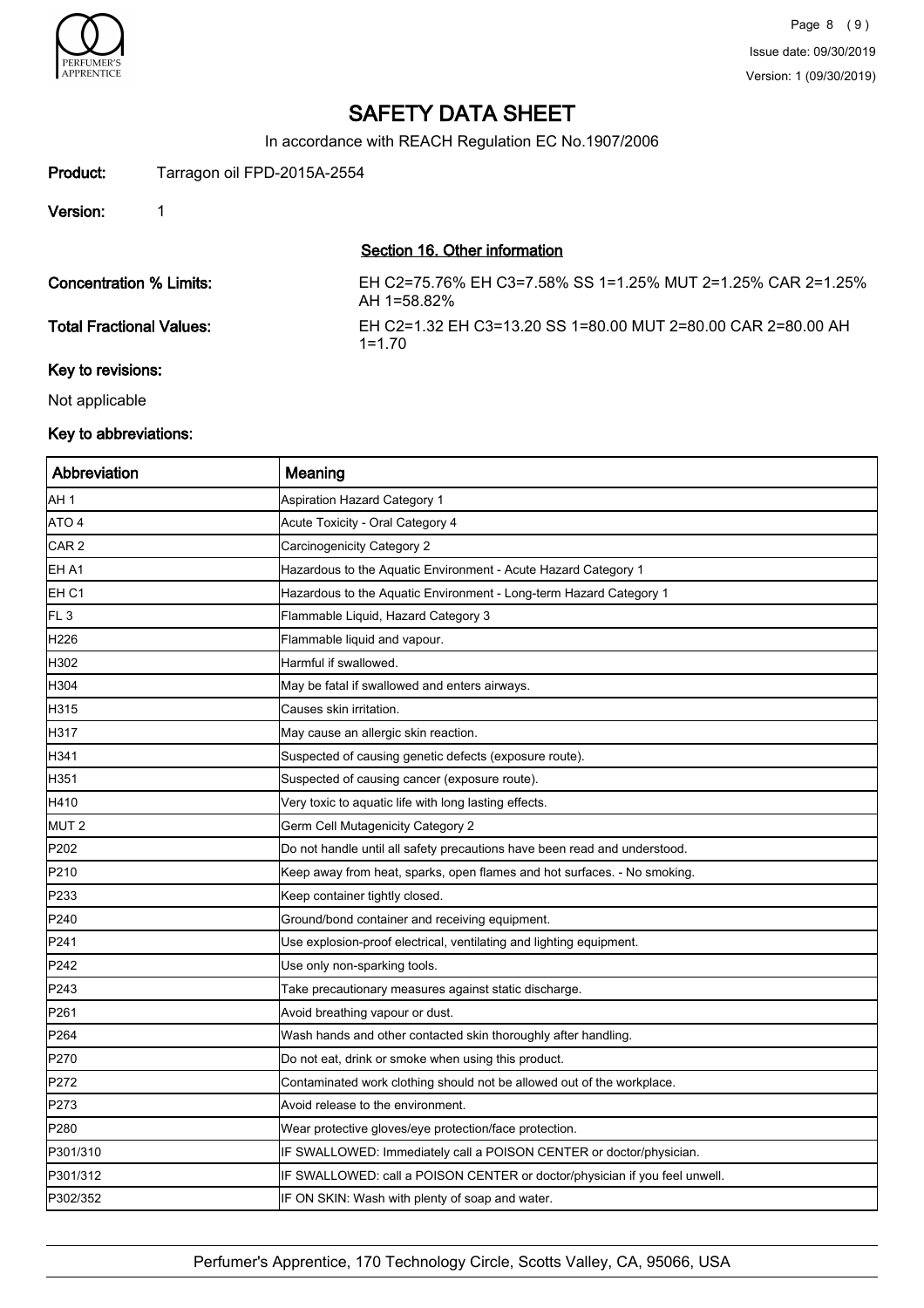

In accordance with REACH Regulation EC No.1907/2006

# Product: Tarragon oil FPD-2015A-2554

Version: 1

# Section 16. Other information

| <b>Concentration % Limits:</b> | EH C2=75.76% EH C3=7.58% SS 1=1.25% MUT 2=1.25% CAR 2=1.25%<br>AH 1=58.82% |
|--------------------------------|----------------------------------------------------------------------------|
| Total Fractional Values:       | EH C2=1.32 EH C3=13.20 SS 1=80.00 MUT 2=80.00 CAR 2=80.00 AH<br>$1 = 1,70$ |
| Key to revisions:              |                                                                            |

Not applicable

# Key to abbreviations:

| Abbreviation     | Meaning                                                                    |
|------------------|----------------------------------------------------------------------------|
| AH 1             | Aspiration Hazard Category 1                                               |
| ATO 4            | Acute Toxicity - Oral Category 4                                           |
| CAR <sub>2</sub> | Carcinogenicity Category 2                                                 |
| EH A1            | Hazardous to the Aquatic Environment - Acute Hazard Category 1             |
| EH C1            | Hazardous to the Aquatic Environment - Long-term Hazard Category 1         |
| FL <sub>3</sub>  | Flammable Liquid, Hazard Category 3                                        |
| H <sub>226</sub> | Flammable liquid and vapour.                                               |
| H302             | Harmful if swallowed.                                                      |
| H304             | May be fatal if swallowed and enters airways.                              |
| H315             | Causes skin irritation.                                                    |
| H317             | May cause an allergic skin reaction.                                       |
| H341             | Suspected of causing genetic defects (exposure route).                     |
| H351             | Suspected of causing cancer (exposure route).                              |
| H410             | Very toxic to aquatic life with long lasting effects.                      |
| MUT <sub>2</sub> | Germ Cell Mutagenicity Category 2                                          |
| P <sub>202</sub> | Do not handle until all safety precautions have been read and understood.  |
| P210             | Keep away from heat, sparks, open flames and hot surfaces. - No smoking.   |
| P233             | Keep container tightly closed.                                             |
| P240             | Ground/bond container and receiving equipment.                             |
| P241             | Use explosion-proof electrical, ventilating and lighting equipment.        |
| P242             | Use only non-sparking tools.                                               |
| P243             | Take precautionary measures against static discharge.                      |
| P <sub>261</sub> | Avoid breathing vapour or dust.                                            |
| P264             | Wash hands and other contacted skin thoroughly after handling.             |
| P270             | Do not eat, drink or smoke when using this product.                        |
| P272             | Contaminated work clothing should not be allowed out of the workplace.     |
| P273             | Avoid release to the environment.                                          |
| P280             | Wear protective gloves/eye protection/face protection.                     |
| P301/310         | IF SWALLOWED: Immediately call a POISON CENTER or doctor/physician.        |
| P301/312         | IF SWALLOWED: call a POISON CENTER or doctor/physician if you feel unwell. |
| P302/352         | IF ON SKIN: Wash with plenty of soap and water.                            |